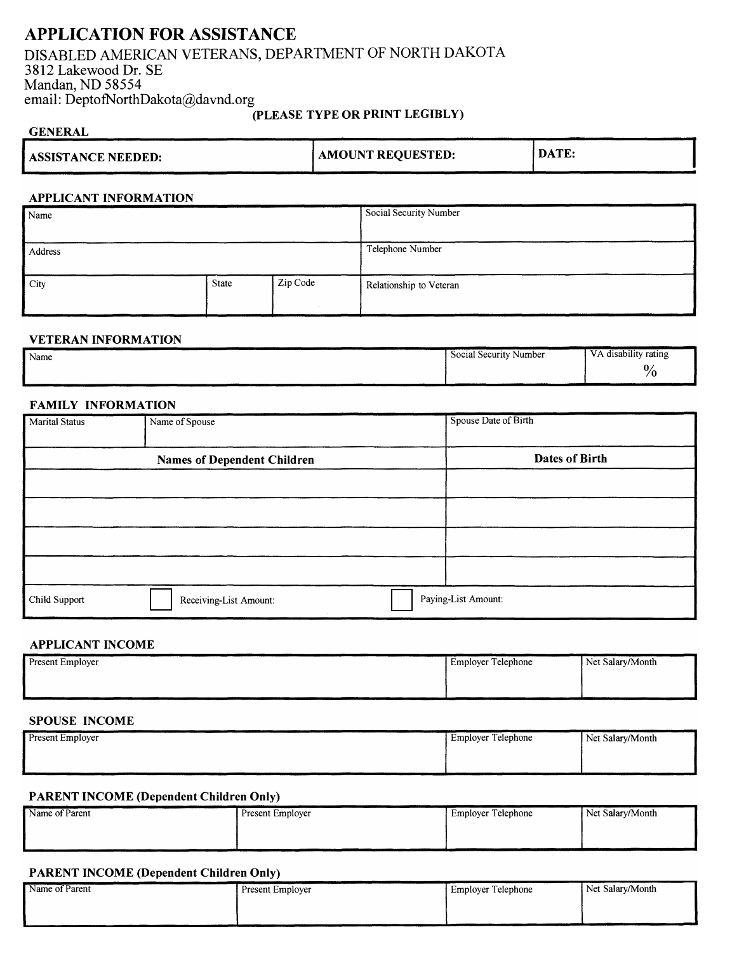# **APPLICATION FOR ASSISTANCE**

# DISABLED AMERICAN VETERANS, DEPARTMENT OF NORTH DAKOTA 3812 Lakewood Dr. SE Mandan, ND 58554 email: DeptofNorthDakota@davnd.org

## **(PLEASE TYPE OR PRINT LEGIBLY)**

| <b>GENERAL</b>            |                          |       |
|---------------------------|--------------------------|-------|
| <b>ASSISTANCE NEEDED:</b> | <b>AMOUNT REQUESTED:</b> | DATE: |
|                           |                          |       |

#### **APPLICANT INFORMATION**

| Name    |       |          | Social Security Number  |
|---------|-------|----------|-------------------------|
| Address |       |          | Telephone Number        |
| City    | State | Zip Code | Relationship to Veteran |

#### **VETERAN INFORMATION**

| Name | disability rating<br>the contract of the contract of |
|------|------------------------------------------------------|
|      | $\frac{0}{0}$                                        |

#### **FAMILY INFORMATION**

| <b>Marital Status</b> | Name of Spouse                     | Spouse Date of Birth |
|-----------------------|------------------------------------|----------------------|
|                       | <b>Names of Dependent Children</b> | Dates of Birth       |
|                       |                                    |                      |
|                       |                                    |                      |
|                       |                                    |                      |
|                       |                                    |                      |
| Child Support         | Receiving-List Amount:             | Paying-List Amount:  |

### **APPLICANT INCOME**

| Present Employer | <b>Employer Telephone</b> | Net Salary/Month |
|------------------|---------------------------|------------------|
|                  |                           |                  |
|                  |                           |                  |

# **SPOUSE INCOME**

| Present Employer | Employer Telephone | Net Salary/Month |
|------------------|--------------------|------------------|
|                  |                    |                  |
|                  |                    |                  |

#### **PARENT INCOME (Dependent Children Only)**

| Name of Parent | Present Employer | Employer Telephone | Net Salary/Month |
|----------------|------------------|--------------------|------------------|
|                |                  |                    |                  |
|                |                  |                    |                  |

## **PARENT INCOME (Dependent Children Only)**

| Name of Parent | Present Employer | <b>Employer Telephone</b> | Net Salary/Month |
|----------------|------------------|---------------------------|------------------|
|                |                  |                           |                  |
|                |                  |                           |                  |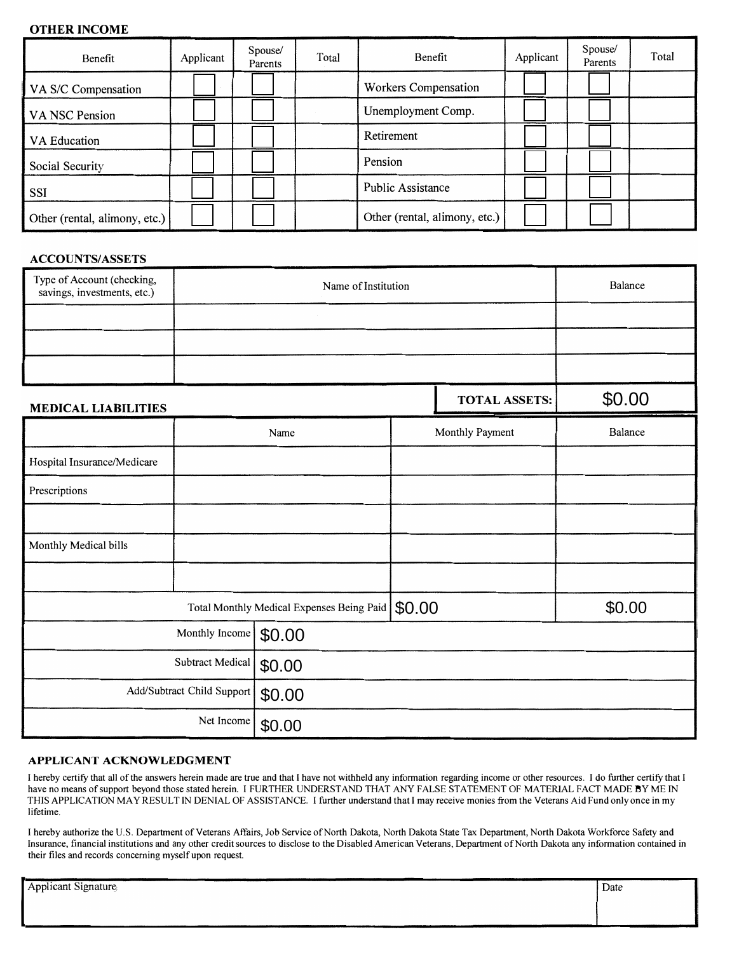# **OTHER INCOME**

| Benefit                       | Applicant | Spouse/<br>Parents | Total | Benefit                       | Applicant | Spouse/<br>Parents | Total |
|-------------------------------|-----------|--------------------|-------|-------------------------------|-----------|--------------------|-------|
| VA S/C Compensation           |           |                    |       | Workers Compensation          |           |                    |       |
| VA NSC Pension                |           |                    |       | Unemployment Comp.            |           |                    |       |
| VA Education                  |           |                    |       | Retirement                    |           |                    |       |
| Social Security               |           |                    |       | Pension                       |           |                    |       |
| <b>SSI</b>                    |           |                    |       | Public Assistance             |           |                    |       |
| Other (rental, alimony, etc.) |           |                    |       | Other (rental, alimony, etc.) |           |                    |       |

## **ACCOUNTS/ASSETS**

| Type of Account (checking,<br>savings, investments, etc.) | Name of Institution |  |                      | Balance |
|-----------------------------------------------------------|---------------------|--|----------------------|---------|
|                                                           |                     |  |                      |         |
|                                                           |                     |  |                      |         |
|                                                           |                     |  |                      |         |
| <b>MEDICAL LIABILITIES</b>                                |                     |  | <b>TOTAL ASSETS:</b> | \$0.00  |
|                                                           | Name                |  | Monthly Payment      | Balance |

|                             |                            | Name                                      | Monthly Payment | Balance |  |
|-----------------------------|----------------------------|-------------------------------------------|-----------------|---------|--|
| Hospital Insurance/Medicare |                            |                                           |                 |         |  |
| Prescriptions               |                            |                                           |                 |         |  |
|                             |                            |                                           |                 |         |  |
| Monthly Medical bills       |                            |                                           |                 |         |  |
|                             |                            |                                           |                 |         |  |
|                             |                            | Total Monthly Medical Expenses Being Paid | \$0.00          | \$0.00  |  |
|                             | Monthly Income             | \$0.00                                    |                 |         |  |
|                             | Subtract Medical           | \$0.00                                    |                 |         |  |
|                             | Add/Subtract Child Support | \$0.00                                    |                 |         |  |
|                             | Net Income                 | \$0.00                                    |                 |         |  |

### **APPLICANT ACKNOWLEDGMENT**

I hereby certify that all of the answers herein made are true and that I have not withheld any information regarding income or other resources. I do further certify that I have no means of support beyond those stated herein. I FURTHER UNDERSTAND THAT ANY FALSE STATEMENT OF MATERIAL FACT MADE BY ME IN THIS APPLICATION MAY RESULT IN DENIAL OF ASSISTANCE. I further understand that I may receive monies from the Veterans Aid Fund only once in my lifetime.

I hereby authorize the U.S. Department of Veterans Affairs, Job Service of North Dakota, North Dakota State Tax Department, North Dakota Workforce Safety and Insurance, financial institutions and any other credit sources to disclose to the Disabled American Veterans, Department of North Dakota any information contained in their files and records concerning myself upon request.

| <b>Applicant Signature</b> | Date |
|----------------------------|------|
|                            |      |
|                            |      |